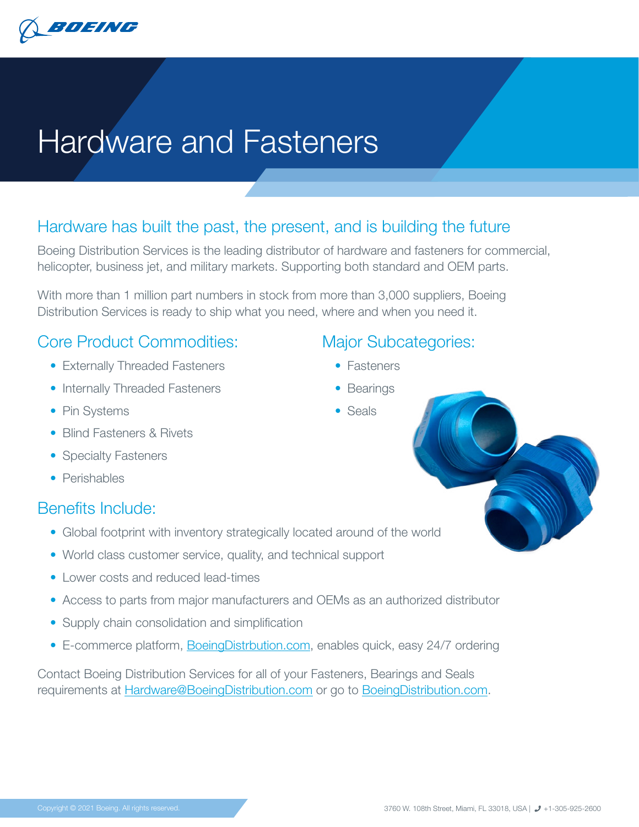

# Hardware and Fasteners

## Hardware has built the past, the present, and is building the future

Boeing Distribution Services is the leading distributor of hardware and fasteners for commercial, helicopter, business jet, and military markets. Supporting both standard and OEM parts.

With more than 1 million part numbers in stock from more than 3,000 suppliers, Boeing Distribution Services is ready to ship what you need, where and when you need it.

## Core Product Commodities:

- Externally Threaded Fasteners
- Internally Threaded Fasteners
- Pin Systems
- Blind Fasteners & Rivets
- Specialty Fasteners
- Perishables

## Benefits Include:

- Global footprint with inventory strategically located around of the world
- World class customer service, quality, and technical support
- Lower costs and reduced lead-times
- Access to parts from major manufacturers and OEMs as an authorized distributor
- Supply chain consolidation and simplification
- E-commerce platform, Boeing Distrbution.com, enables quick, easy 24/7 ordering

Contact Boeing Distribution Services for all of your Fasteners, Bearings and Seals requirements at [Hardware@BoeingDistribution.com](mailto:Hardware%40BoeingDistribution.com?subject=) or go to [BoeingDistribution.com](http://BoeingDistribution.com).

## Major Subcategories:

- Fasteners
- Bearings
- Seals